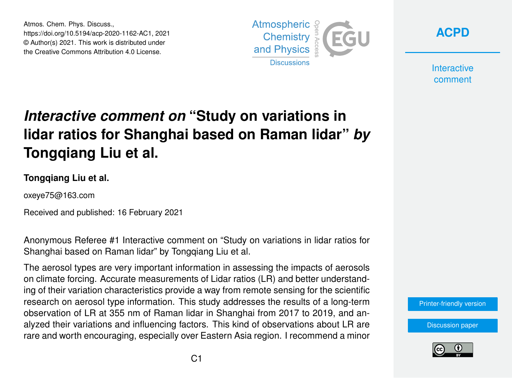Atmos. Chem. Phys. Discuss., https://doi.org/10.5194/acp-2020-1162-AC1, 2021 © Author(s) 2021. This work is distributed under the Creative Commons Attribution 4.0 License.





**Interactive** comment

# *Interactive comment on* **"Study on variations in lidar ratios for Shanghai based on Raman lidar"** *by* **Tongqiang Liu et al.**

#### **Tongqiang Liu et al.**

oxeye75@163.com

Received and published: 16 February 2021

Anonymous Referee #1 Interactive comment on "Study on variations in lidar ratios for Shanghai based on Raman lidar" by Tongqiang Liu et al.

The aerosol types are very important information in assessing the impacts of aerosols on climate forcing. Accurate measurements of Lidar ratios (LR) and better understanding of their variation characteristics provide a way from remote sensing for the scientific research on aerosol type information. This study addresses the results of a long-term observation of LR at 355 nm of Raman lidar in Shanghai from 2017 to 2019, and analyzed their variations and influencing factors. This kind of observations about LR are rare and worth encouraging, especially over Eastern Asia region. I recommend a minor

[Printer-friendly version](https://acp.copernicus.org/preprints/acp-2020-1162/acp-2020-1162-AC1-print.pdf)

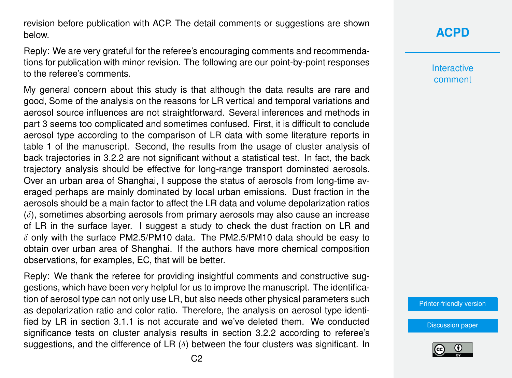revision before publication with ACP. The detail comments or suggestions are shown below.

Reply: We are very grateful for the referee's encouraging comments and recommendations for publication with minor revision. The following are our point-by-point responses to the referee's comments.

My general concern about this study is that although the data results are rare and good, Some of the analysis on the reasons for LR vertical and temporal variations and aerosol source influences are not straightforward. Several inferences and methods in part 3 seems too complicated and sometimes confused. First, it is difficult to conclude aerosol type according to the comparison of LR data with some literature reports in table 1 of the manuscript. Second, the results from the usage of cluster analysis of back trajectories in 3.2.2 are not significant without a statistical test. In fact, the back trajectory analysis should be effective for long-range transport dominated aerosols. Over an urban area of Shanghai, I suppose the status of aerosols from long-time averaged perhaps are mainly dominated by local urban emissions. Dust fraction in the aerosols should be a main factor to affect the LR data and volume depolarization ratios  $(\delta)$ , sometimes absorbing aerosols from primary aerosols may also cause an increase of LR in the surface layer. I suggest a study to check the dust fraction on LR and  $\delta$  only with the surface PM2.5/PM10 data. The PM2.5/PM10 data should be easy to obtain over urban area of Shanghai. If the authors have more chemical composition observations, for examples, EC, that will be better.

Reply: We thank the referee for providing insightful comments and constructive suggestions, which have been very helpful for us to improve the manuscript. The identification of aerosol type can not only use LR, but also needs other physical parameters such as depolarization ratio and color ratio. Therefore, the analysis on aerosol type identified by LR in section 3.1.1 is not accurate and we've deleted them. We conducted significance tests on cluster analysis results in section 3.2.2 according to referee's suggestions, and the difference of LR  $(\delta)$  between the four clusters was significant. In **Interactive** comment

[Printer-friendly version](https://acp.copernicus.org/preprints/acp-2020-1162/acp-2020-1162-AC1-print.pdf)

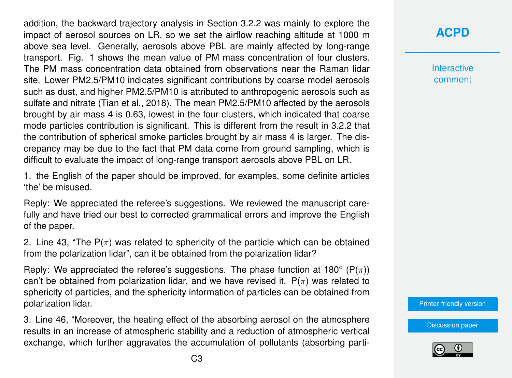addition, the backward trajectory analysis in Section 3.2.2 was mainly to explore the impact of aerosol sources on LR, so we set the airflow reaching altitude at 1000 m above sea level. Generally, aerosols above PBL are mainly affected by long-range transport. Fig. 1 shows the mean value of PM mass concentration of four clusters. The PM mass concentration data obtained from observations near the Raman lidar site. Lower PM2.5/PM10 indicates significant contributions by coarse model aerosols such as dust, and higher PM2.5/PM10 is attributed to anthropogenic aerosols such as sulfate and nitrate (Tian et al., 2018). The mean PM2.5/PM10 affected by the aerosols brought by air mass 4 is 0.63, lowest in the four clusters, which indicated that coarse mode particles contribution is significant. This is different from the result in 3.2.2 that the contribution of spherical smoke particles brought by air mass 4 is larger. The discrepancy may be due to the fact that PM data come from ground sampling, which is difficult to evaluate the impact of long-range transport aerosols above PBL on LR.

1. the English of the paper should be improved, for examples, some definite articles 'the' be misused.

Reply: We appreciated the referee's suggestions. We reviewed the manuscript carefully and have tried our best to corrected grammatical errors and improve the English of the paper.

2. Line 43, "The  $P(\pi)$  was related to sphericity of the particle which can be obtained from the polarization lidar", can it be obtained from the polarization lidar?

Reply: We appreciated the referee's suggestions. The phase function at 180 $^{\circ}$  (P( $\pi$ )) can't be obtained from polarization lidar, and we have revised it.  $P(\pi)$  was related to sphericity of particles, and the sphericity information of particles can be obtained from polarization lidar.

3. Line 46, "Moreover, the heating effect of the absorbing aerosol on the atmosphere results in an increase of atmospheric stability and a reduction of atmospheric vertical exchange, which further aggravates the accumulation of pollutants (absorbing parti**Interactive** comment

[Printer-friendly version](https://acp.copernicus.org/preprints/acp-2020-1162/acp-2020-1162-AC1-print.pdf)

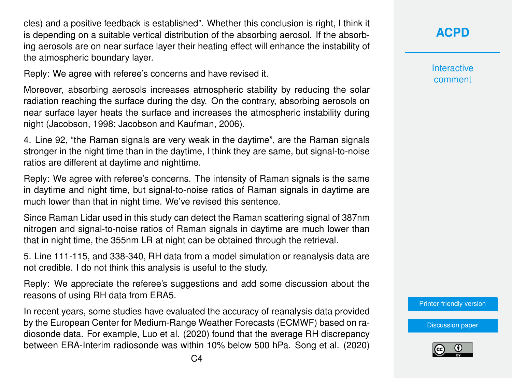cles) and a positive feedback is established". Whether this conclusion is right, I think it is depending on a suitable vertical distribution of the absorbing aerosol. If the absorbing aerosols are on near surface layer their heating effect will enhance the instability of the atmospheric boundary layer.

Reply: We agree with referee's concerns and have revised it.

Moreover, absorbing aerosols increases atmospheric stability by reducing the solar radiation reaching the surface during the day. On the contrary, absorbing aerosols on near surface layer heats the surface and increases the atmospheric instability during night (Jacobson, 1998; Jacobson and Kaufman, 2006).

4. Line 92, "the Raman signals are very weak in the daytime", are the Raman signals stronger in the night time than in the daytime, I think they are same, but signal-to-noise ratios are different at daytime and nighttime.

Reply: We agree with referee's concerns. The intensity of Raman signals is the same in daytime and night time, but signal-to-noise ratios of Raman signals in daytime are much lower than that in night time. We've revised this sentence.

Since Raman Lidar used in this study can detect the Raman scattering signal of 387nm nitrogen and signal-to-noise ratios of Raman signals in daytime are much lower than that in night time, the 355nm LR at night can be obtained through the retrieval.

5. Line 111-115, and 338-340, RH data from a model simulation or reanalysis data are not credible. I do not think this analysis is useful to the study.

Reply: We appreciate the referee's suggestions and add some discussion about the reasons of using RH data from ERA5.

In recent years, some studies have evaluated the accuracy of reanalysis data provided by the European Center for Medium-Range Weather Forecasts (ECMWF) based on radiosonde data. For example, Luo et al. (2020) found that the average RH discrepancy between ERA-Interim radiosonde was within 10% below 500 hPa. Song et al. (2020) **Interactive** comment

[Printer-friendly version](https://acp.copernicus.org/preprints/acp-2020-1162/acp-2020-1162-AC1-print.pdf)

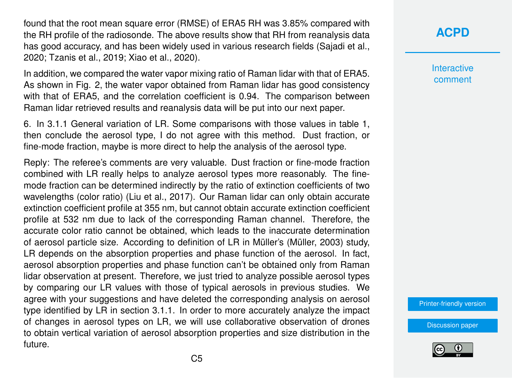found that the root mean square error (RMSE) of ERA5 RH was 3.85% compared with the RH profile of the radiosonde. The above results show that RH from reanalysis data has good accuracy, and has been widely used in various research fields (Sajadi et al., 2020; Tzanis et al., 2019; Xiao et al., 2020).

In addition, we compared the water vapor mixing ratio of Raman lidar with that of ERA5. As shown in Fig. 2, the water vapor obtained from Raman lidar has good consistency with that of ERA5, and the correlation coefficient is 0.94. The comparison between Raman lidar retrieved results and reanalysis data will be put into our next paper.

6. In 3.1.1 General variation of LR. Some comparisons with those values in table 1, then conclude the aerosol type, I do not agree with this method. Dust fraction, or fine-mode fraction, maybe is more direct to help the analysis of the aerosol type.

Reply: The referee's comments are very valuable. Dust fraction or fine-mode fraction combined with LR really helps to analyze aerosol types more reasonably. The finemode fraction can be determined indirectly by the ratio of extinction coefficients of two wavelengths (color ratio) (Liu et al., 2017). Our Raman lidar can only obtain accurate extinction coefficient profile at 355 nm, but cannot obtain accurate extinction coefficient profile at 532 nm due to lack of the corresponding Raman channel. Therefore, the accurate color ratio cannot be obtained, which leads to the inaccurate determination of aerosol particle size. According to definition of LR in Müller's (Müller, 2003) study, LR depends on the absorption properties and phase function of the aerosol. In fact, aerosol absorption properties and phase function can't be obtained only from Raman lidar observation at present. Therefore, we just tried to analyze possible aerosol types by comparing our LR values with those of typical aerosols in previous studies. We agree with your suggestions and have deleted the corresponding analysis on aerosol type identified by LR in section 3.1.1. In order to more accurately analyze the impact of changes in aerosol types on LR, we will use collaborative observation of drones to obtain vertical variation of aerosol absorption properties and size distribution in the future.

**[ACPD](https://acp.copernicus.org/preprints/)**

**Interactive** comment

[Printer-friendly version](https://acp.copernicus.org/preprints/acp-2020-1162/acp-2020-1162-AC1-print.pdf)

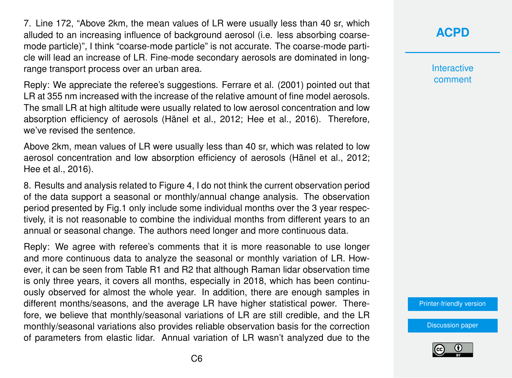7. Line 172, "Above 2km, the mean values of LR were usually less than 40 sr, which alluded to an increasing influence of background aerosol (i.e. less absorbing coarsemode particle)", I think "coarse-mode particle" is not accurate. The coarse-mode particle will lead an increase of LR. Fine-mode secondary aerosols are dominated in longrange transport process over an urban area.

Reply: We appreciate the referee's suggestions. Ferrare et al. (2001) pointed out that LR at 355 nm increased with the increase of the relative amount of fine model aerosols. The small LR at high altitude were usually related to low aerosol concentration and low absorption efficiency of aerosols (Hänel et al., 2012; Hee et al., 2016). Therefore, we've revised the sentence.

Above 2km, mean values of LR were usually less than 40 sr, which was related to low aerosol concentration and low absorption efficiency of aerosols (Hänel et al., 2012; Hee et al., 2016).

8. Results and analysis related to Figure 4, I do not think the current observation period of the data support a seasonal or monthly/annual change analysis. The observation period presented by Fig.1 only include some individual months over the 3 year respectively, it is not reasonable to combine the individual months from different years to an annual or seasonal change. The authors need longer and more continuous data.

Reply: We agree with referee's comments that it is more reasonable to use longer and more continuous data to analyze the seasonal or monthly variation of LR. However, it can be seen from Table R1 and R2 that although Raman lidar observation time is only three years, it covers all months, especially in 2018, which has been continuously observed for almost the whole year. In addition, there are enough samples in different months/seasons, and the average LR have higher statistical power. Therefore, we believe that monthly/seasonal variations of LR are still credible, and the LR monthly/seasonal variations also provides reliable observation basis for the correction of parameters from elastic lidar. Annual variation of LR wasn't analyzed due to the **[ACPD](https://acp.copernicus.org/preprints/)**

**Interactive** comment

[Printer-friendly version](https://acp.copernicus.org/preprints/acp-2020-1162/acp-2020-1162-AC1-print.pdf)

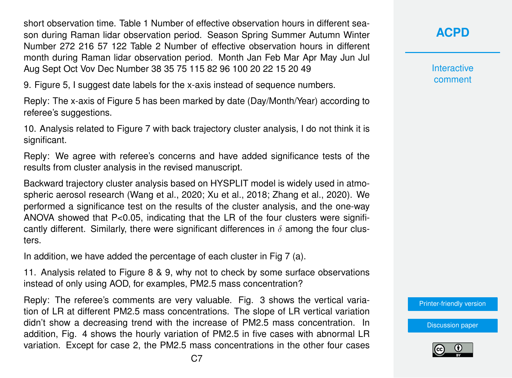short observation time. Table 1 Number of effective observation hours in different season during Raman lidar observation period. Season Spring Summer Autumn Winter Number 272 216 57 122 Table 2 Number of effective observation hours in different month during Raman lidar observation period. Month Jan Feb Mar Apr May Jun Jul Aug Sept Oct Vov Dec Number 38 35 75 115 82 96 100 20 22 15 20 49

9. Figure 5, I suggest date labels for the x-axis instead of sequence numbers.

Reply: The x-axis of Figure 5 has been marked by date (Day/Month/Year) according to referee's suggestions.

10. Analysis related to Figure 7 with back trajectory cluster analysis, I do not think it is significant.

Reply: We agree with referee's concerns and have added significance tests of the results from cluster analysis in the revised manuscript.

Backward trajectory cluster analysis based on HYSPLIT model is widely used in atmospheric aerosol research (Wang et al., 2020; Xu et al., 2018; Zhang et al., 2020). We performed a significance test on the results of the cluster analysis, and the one-way ANOVA showed that P<0.05, indicating that the LR of the four clusters were significantly different. Similarly, there were significant differences in  $\delta$  among the four clusters.

In addition, we have added the percentage of each cluster in Fig 7 (a).

11. Analysis related to Figure 8 & 9, why not to check by some surface observations instead of only using AOD, for examples, PM2.5 mass concentration?

Reply: The referee's comments are very valuable. Fig. 3 shows the vertical variation of LR at different PM2.5 mass concentrations. The slope of LR vertical variation didn't show a decreasing trend with the increase of PM2.5 mass concentration. In addition, Fig. 4 shows the hourly variation of PM2.5 in five cases with abnormal LR variation. Except for case 2, the PM2.5 mass concentrations in the other four cases **[ACPD](https://acp.copernicus.org/preprints/)**

**Interactive** comment

[Printer-friendly version](https://acp.copernicus.org/preprints/acp-2020-1162/acp-2020-1162-AC1-print.pdf)

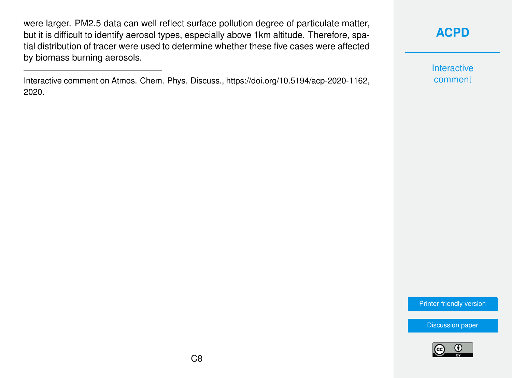were larger. PM2.5 data can well reflect surface pollution degree of particulate matter, but it is difficult to identify aerosol types, especially above 1km altitude. Therefore, spatial distribution of tracer were used to determine whether these five cases were affected by biomass burning aerosols.

Interactive comment on Atmos. Chem. Phys. Discuss., https://doi.org/10.5194/acp-2020-1162, 2020.

**[ACPD](https://acp.copernicus.org/preprints/)**

Interactive comment

[Printer-friendly version](https://acp.copernicus.org/preprints/acp-2020-1162/acp-2020-1162-AC1-print.pdf)

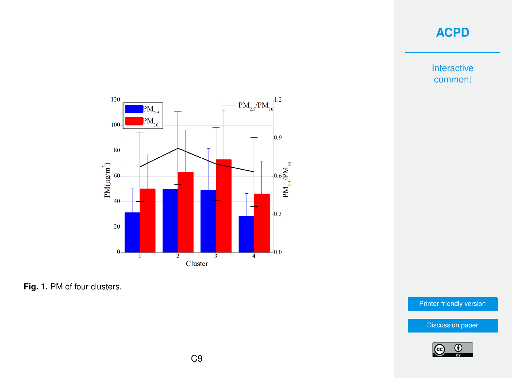Interactive comment



**Fig. 1.** PM of four clusters.

[Printer-friendly version](https://acp.copernicus.org/preprints/acp-2020-1162/acp-2020-1162-AC1-print.pdf)

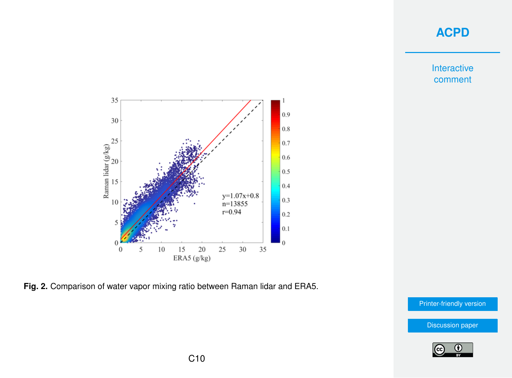Interactive comment



**Fig. 2.** Comparison of water vapor mixing ratio between Raman lidar and ERA5.

[Printer-friendly version](https://acp.copernicus.org/preprints/acp-2020-1162/acp-2020-1162-AC1-print.pdf)

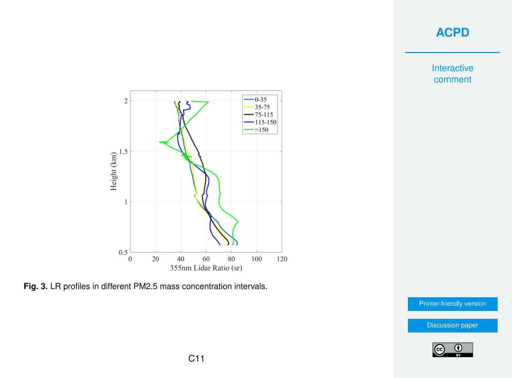Interactive comment



**Fig. 3.** LR profiles in different PM2.5 mass concentration intervals.

[Printer-friendly version](https://acp.copernicus.org/preprints/acp-2020-1162/acp-2020-1162-AC1-print.pdf)